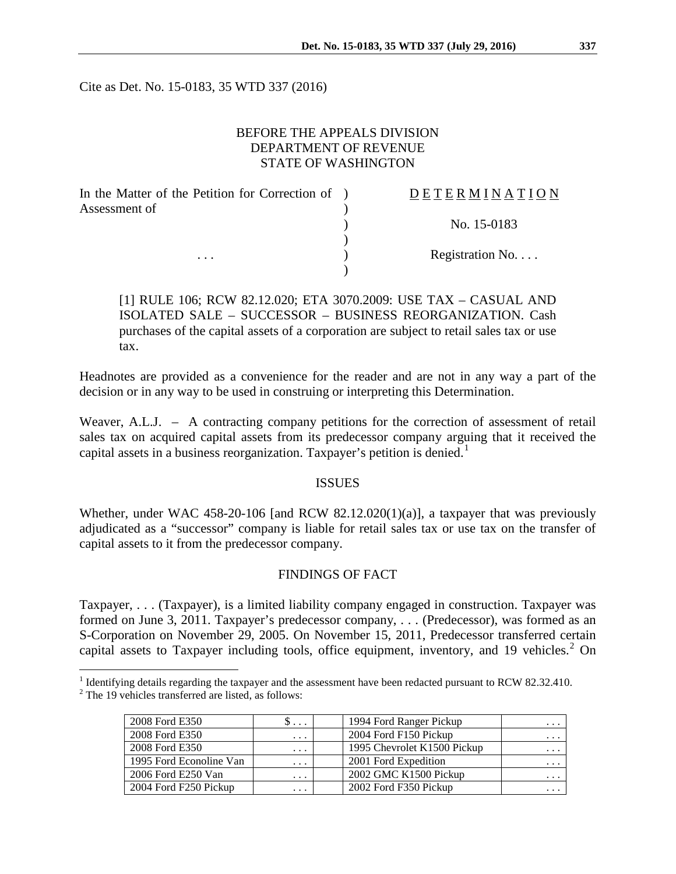Cite as Det. No. 15-0183, 35 WTD 337 (2016)

### BEFORE THE APPEALS DIVISION DEPARTMENT OF REVENUE STATE OF WASHINGTON

| In the Matter of the Petition for Correction of ) | DETERMINATION             |
|---------------------------------------------------|---------------------------|
| Assessment of                                     |                           |
|                                                   | No. 15-0183               |
|                                                   |                           |
| $\cdots$                                          | Registration $No. \ldots$ |
|                                                   |                           |

[1] RULE 106; RCW 82.12.020; ETA 3070.2009: USE TAX – CASUAL AND ISOLATED SALE – SUCCESSOR – BUSINESS REORGANIZATION. Cash purchases of the capital assets of a corporation are subject to retail sales tax or use tax.

Headnotes are provided as a convenience for the reader and are not in any way a part of the decision or in any way to be used in construing or interpreting this Determination.

Weaver, A.L.J. – A contracting company petitions for the correction of assessment of retail sales tax on acquired capital assets from its predecessor company arguing that it received the capital assets in a business reorganization. Taxpayer's petition is denied.<sup>[1](#page-0-0)</sup>

#### ISSUES

Whether, under WAC 458-20-106 [and RCW 82.12.020(1)(a)], a taxpayer that was previously adjudicated as a "successor" company is liable for retail sales tax or use tax on the transfer of capital assets to it from the predecessor company.

### FINDINGS OF FACT

Taxpayer, . . . (Taxpayer), is a limited liability company engaged in construction. Taxpayer was formed on June 3, 2011. Taxpayer's predecessor company, . . . (Predecessor), was formed as an S-Corporation on November 29, 2005. On November 15, 2011, Predecessor transferred certain capital assets to Taxpayer including tools, office equipment, inventory, and 19 vehicles.<sup>[2](#page-0-1)</sup> On

<span id="page-0-1"></span><span id="page-0-0"></span><sup>&</sup>lt;sup>1</sup> Identifying details regarding the taxpayer and the assessment have been redacted pursuant to RCW 82.32.410.  $2$  The 19 vehicles transferred are listed, as follows:

| 2008 Ford E350          | $\mathcal{D}$ | 1994 Ford Ranger Pickup     | $\cdots$                |
|-------------------------|---------------|-----------------------------|-------------------------|
| 2008 Ford E350          | $\cdots$      | 2004 Ford F150 Pickup       | $\cdots$                |
| 2008 Ford E350          | $\ddotsc$     | 1995 Chevrolet K1500 Pickup | $\cdot$ $\cdot$ $\cdot$ |
| 1995 Ford Econoline Van | $\ddotsc$     | 2001 Ford Expedition        | $\cdots$                |
| 2006 Ford E250 Van      | $\cdots$      | 2002 GMC K1500 Pickup       | .                       |
| 2004 Ford F250 Pickup   | $\cdots$      | 2002 Ford F350 Pickup       |                         |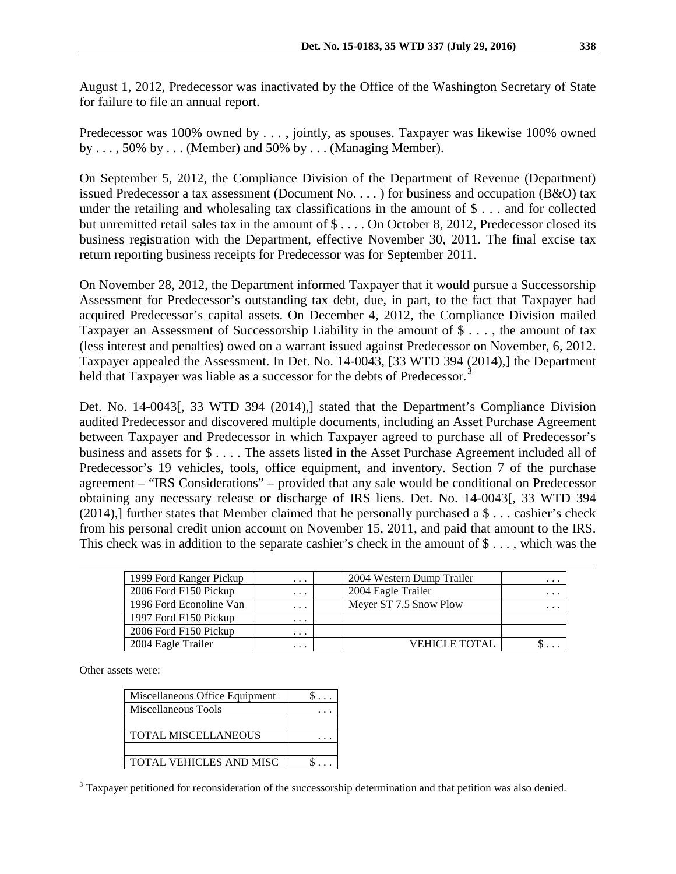August 1, 2012, Predecessor was inactivated by the Office of the Washington Secretary of State for failure to file an annual report.

Predecessor was 100% owned by . . . , jointly, as spouses. Taxpayer was likewise 100% owned by . . . , 50% by . . . (Member) and 50% by . . . (Managing Member).

On September 5, 2012, the Compliance Division of the Department of Revenue (Department) issued Predecessor a tax assessment (Document No. . . . ) for business and occupation (B&O) tax under the retailing and wholesaling tax classifications in the amount of \$ . . . and for collected but unremitted retail sales tax in the amount of \$ . . . . On October 8, 2012, Predecessor closed its business registration with the Department, effective November 30, 2011. The final excise tax return reporting business receipts for Predecessor was for September 2011.

On November 28, 2012, the Department informed Taxpayer that it would pursue a Successorship Assessment for Predecessor's outstanding tax debt, due, in part, to the fact that Taxpayer had acquired Predecessor's capital assets. On December 4, 2012, the Compliance Division mailed Taxpayer an Assessment of Successorship Liability in the amount of \$ . . . , the amount of tax (less interest and penalties) owed on a warrant issued against Predecessor on November, 6, 2012. Taxpayer appealed the Assessment. In Det. No. 14-0043, [33 WTD 394 (2014),] the Department held that Taxpayer was liable as a successor for the debts of Predecessor.<sup>[3](#page-1-0)</sup>

Det. No. 14-0043[, 33 WTD 394 (2014),] stated that the Department's Compliance Division audited Predecessor and discovered multiple documents, including an Asset Purchase Agreement between Taxpayer and Predecessor in which Taxpayer agreed to purchase all of Predecessor's business and assets for \$ . . . . The assets listed in the Asset Purchase Agreement included all of Predecessor's 19 vehicles, tools, office equipment, and inventory. Section 7 of the purchase agreement – "IRS Considerations" – provided that any sale would be conditional on Predecessor obtaining any necessary release or discharge of IRS liens. Det. No. 14-0043[, 33 WTD 394 (2014),] further states that Member claimed that he personally purchased a  $\$ ... cashier's check from his personal credit union account on November 15, 2011, and paid that amount to the IRS. This check was in addition to the separate cashier's check in the amount of  $\$\ldots$ , which was the

| 1999 Ford Ranger Pickup | $\cdot$ $\cdot$ $\cdot$ | 2004 Western Dump Trailer | $\cdot$ $\cdot$ $\cdot$ |
|-------------------------|-------------------------|---------------------------|-------------------------|
| 2006 Ford F150 Pickup   | $\cdot$ $\cdot$ $\cdot$ | 2004 Eagle Trailer        | $\cdots$                |
| 1996 Ford Econoline Van | $\cdots$                | Meyer ST 7.5 Snow Plow    | $\cdots$                |
| 1997 Ford F150 Pickup   | $\cdots$                |                           |                         |
| 2006 Ford F150 Pickup   | $\cdots$                |                           |                         |
| 2004 Eagle Trailer      | $\cdots$                | <b>VEHICLE TOTAL</b>      | $\cdot$ $\cdot$ $\cdot$ |

Other assets were:

 $\overline{a}$ 

| Miscellaneous Office Equipment |  |
|--------------------------------|--|
| Miscellaneous Tools            |  |
|                                |  |
| <b>TOTAL MISCELLANEOUS</b>     |  |
|                                |  |
| <b>TOTAL VEHICLES AND MISC</b> |  |
|                                |  |

<span id="page-1-0"></span><sup>3</sup> Taxpayer petitioned for reconsideration of the successorship determination and that petition was also denied.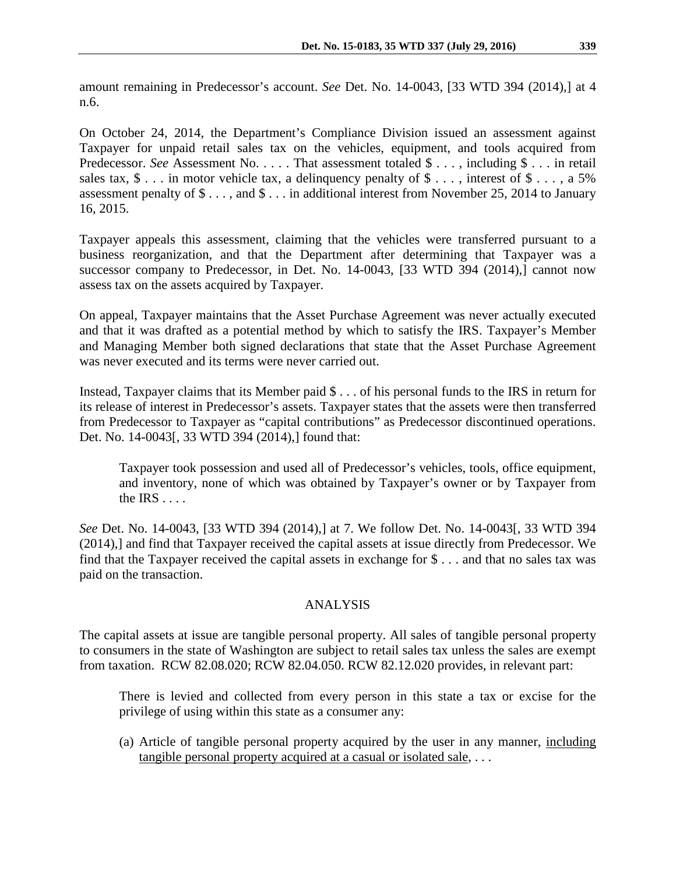amount remaining in Predecessor's account. *See* Det. No. 14-0043, [33 WTD 394 (2014),] at 4 n.6.

On October 24, 2014, the Department's Compliance Division issued an assessment against Taxpayer for unpaid retail sales tax on the vehicles, equipment, and tools acquired from Predecessor. *See* Assessment No. . . . . That assessment totaled \$ . . . , including \$ . . . in retail sales tax,  $\$ \dots$  in motor vehicle tax, a delinquency penalty of  $\$ \dots$ , interest of  $\$ \dots$ , a 5% assessment penalty of \$ . . . , and \$ . . . in additional interest from November 25, 2014 to January 16, 2015.

Taxpayer appeals this assessment, claiming that the vehicles were transferred pursuant to a business reorganization, and that the Department after determining that Taxpayer was a successor company to Predecessor, in Det. No. 14-0043, [33 WTD 394 (2014),] cannot now assess tax on the assets acquired by Taxpayer.

On appeal, Taxpayer maintains that the Asset Purchase Agreement was never actually executed and that it was drafted as a potential method by which to satisfy the IRS. Taxpayer's Member and Managing Member both signed declarations that state that the Asset Purchase Agreement was never executed and its terms were never carried out.

Instead, Taxpayer claims that its Member paid \$ . . . of his personal funds to the IRS in return for its release of interest in Predecessor's assets. Taxpayer states that the assets were then transferred from Predecessor to Taxpayer as "capital contributions" as Predecessor discontinued operations. Det. No. 14-0043[, 33 WTD 394 (2014),] found that:

Taxpayer took possession and used all of Predecessor's vehicles, tools, office equipment, and inventory, none of which was obtained by Taxpayer's owner or by Taxpayer from the  $IRS \ldots$ .

*See* Det. No. 14-0043, [33 WTD 394 (2014),] at 7. We follow Det. No. 14-0043[, 33 WTD 394 (2014),] and find that Taxpayer received the capital assets at issue directly from Predecessor. We find that the Taxpayer received the capital assets in exchange for \$ . . . and that no sales tax was paid on the transaction.

## ANALYSIS

The capital assets at issue are tangible personal property. All sales of tangible personal property to consumers in the state of Washington are subject to retail sales tax unless the sales are exempt from taxation. RCW 82.08.020; RCW 82.04.050. RCW 82.12.020 provides, in relevant part:

There is levied and collected from every person in this state a tax or excise for the privilege of using within this state as a consumer any:

(a) Article of tangible personal property acquired by the user in any manner, including tangible personal property acquired at a casual or isolated sale, . . .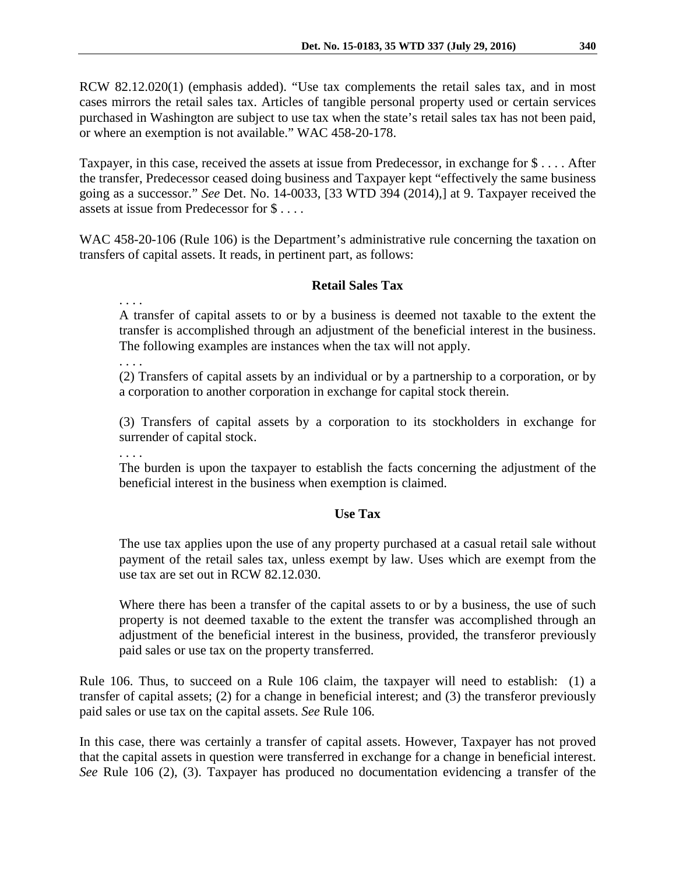RCW 82.12.020(1) (emphasis added). "Use tax complements the retail sales tax, and in most cases mirrors the retail sales tax. Articles of tangible personal property used or certain services purchased in Washington are subject to use tax when the state's retail sales tax has not been paid, or where an exemption is not available." WAC 458-20-178.

Taxpayer, in this case, received the assets at issue from Predecessor, in exchange for \$ . . . . After the transfer, Predecessor ceased doing business and Taxpayer kept "effectively the same business going as a successor." *See* Det. No. 14-0033, [33 WTD 394 (2014),] at 9. Taxpayer received the assets at issue from Predecessor for \$ . . . .

WAC 458-20-106 (Rule 106) is the Department's administrative rule concerning the taxation on transfers of capital assets. It reads, in pertinent part, as follows:

# **Retail Sales Tax**

. . . .

A transfer of capital assets to or by a business is deemed not taxable to the extent the transfer is accomplished through an adjustment of the beneficial interest in the business. The following examples are instances when the tax will not apply.

. . . .

(2) Transfers of capital assets by an individual or by a partnership to a corporation, or by a corporation to another corporation in exchange for capital stock therein.

(3) Transfers of capital assets by a corporation to its stockholders in exchange for surrender of capital stock.

. . . .

The burden is upon the taxpayer to establish the facts concerning the adjustment of the beneficial interest in the business when exemption is claimed.

## **Use Tax**

The use tax applies upon the use of any property purchased at a casual retail sale without payment of the retail sales tax, unless exempt by law. Uses which are exempt from the use tax are set out in RCW 82.12.030.

Where there has been a transfer of the capital assets to or by a business, the use of such property is not deemed taxable to the extent the transfer was accomplished through an adjustment of the beneficial interest in the business, provided, the transferor previously paid sales or use tax on the property transferred.

Rule 106. Thus, to succeed on a Rule 106 claim, the taxpayer will need to establish: (1) a transfer of capital assets; (2) for a change in beneficial interest; and (3) the transferor previously paid sales or use tax on the capital assets. *See* Rule 106.

In this case, there was certainly a transfer of capital assets. However, Taxpayer has not proved that the capital assets in question were transferred in exchange for a change in beneficial interest. *See* Rule 106 (2), (3). Taxpayer has produced no documentation evidencing a transfer of the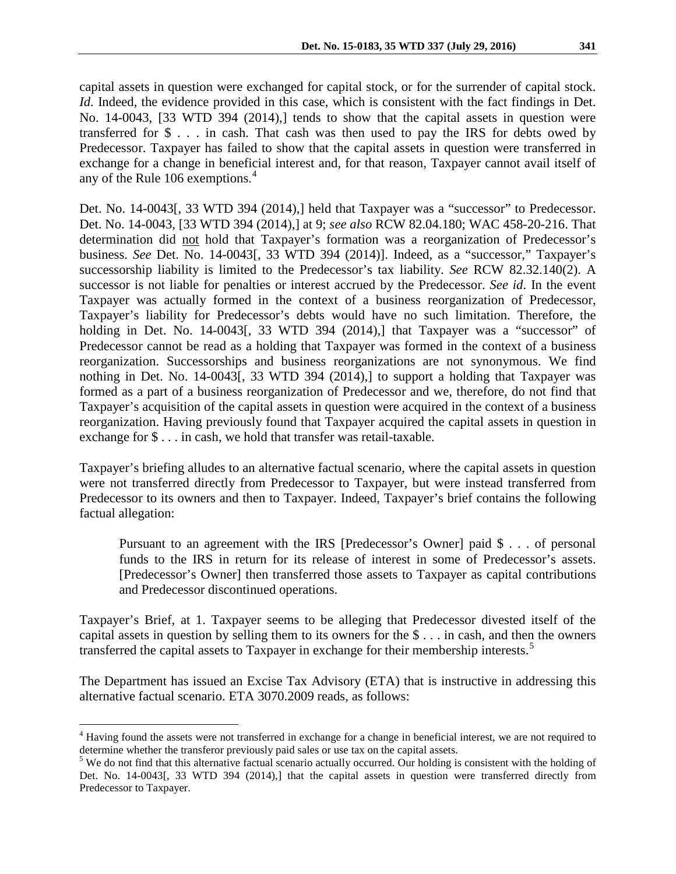capital assets in question were exchanged for capital stock, or for the surrender of capital stock. *Id*. Indeed, the evidence provided in this case, which is consistent with the fact findings in Det. No. 14-0043, [33 WTD 394 (2014),] tends to show that the capital assets in question were transferred for  $\$\ldots\$$  in cash. That cash was then used to pay the IRS for debts owed by Predecessor. Taxpayer has failed to show that the capital assets in question were transferred in exchange for a change in beneficial interest and, for that reason, Taxpayer cannot avail itself of any of the Rule 106 exemptions.<sup>[4](#page-4-0)</sup>

Det. No. 14-0043[, 33 WTD 394 (2014),] held that Taxpayer was a "successor" to Predecessor. Det. No. 14-0043, [33 WTD 394 (2014),] at 9; *see also* RCW 82.04.180; WAC 458-20-216. That determination did not hold that Taxpayer's formation was a reorganization of Predecessor's business. *See* Det. No. 14-0043[, 33 WTD 394 (2014)]. Indeed, as a "successor," Taxpayer's successorship liability is limited to the Predecessor's tax liability. *See* RCW 82.32.140(2). A successor is not liable for penalties or interest accrued by the Predecessor. *See id*. In the event Taxpayer was actually formed in the context of a business reorganization of Predecessor, Taxpayer's liability for Predecessor's debts would have no such limitation. Therefore, the holding in Det. No. 14-0043[, 33 WTD 394 (2014),] that Taxpayer was a "successor" of Predecessor cannot be read as a holding that Taxpayer was formed in the context of a business reorganization. Successorships and business reorganizations are not synonymous. We find nothing in Det. No. 14-0043[, 33 WTD 394 (2014),] to support a holding that Taxpayer was formed as a part of a business reorganization of Predecessor and we, therefore, do not find that Taxpayer's acquisition of the capital assets in question were acquired in the context of a business reorganization. Having previously found that Taxpayer acquired the capital assets in question in exchange for \$ . . . in cash, we hold that transfer was retail-taxable.

Taxpayer's briefing alludes to an alternative factual scenario, where the capital assets in question were not transferred directly from Predecessor to Taxpayer, but were instead transferred from Predecessor to its owners and then to Taxpayer. Indeed, Taxpayer's brief contains the following factual allegation:

Pursuant to an agreement with the IRS [Predecessor's Owner] paid \$ . . . of personal funds to the IRS in return for its release of interest in some of Predecessor's assets. [Predecessor's Owner] then transferred those assets to Taxpayer as capital contributions and Predecessor discontinued operations.

Taxpayer's Brief, at 1. Taxpayer seems to be alleging that Predecessor divested itself of the capital assets in question by selling them to its owners for the \$ . . . in cash, and then the owners transferred the capital assets to Taxpayer in exchange for their membership interests.<sup>[5](#page-4-1)</sup>

The Department has issued an Excise Tax Advisory (ETA) that is instructive in addressing this alternative factual scenario. ETA 3070.2009 reads, as follows:

<span id="page-4-0"></span><sup>&</sup>lt;sup>4</sup> Having found the assets were not transferred in exchange for a change in beneficial interest, we are not required to determine whether the transferor previously paid sales or use tax on the capital assets.

<span id="page-4-1"></span><sup>&</sup>lt;sup>5</sup> We do not find that this alternative factual scenario actually occurred. Our holding is consistent with the holding of Det. No. 14-0043[, 33 WTD 394 (2014),] that the capital assets in question were transferred directly from Predecessor to Taxpayer.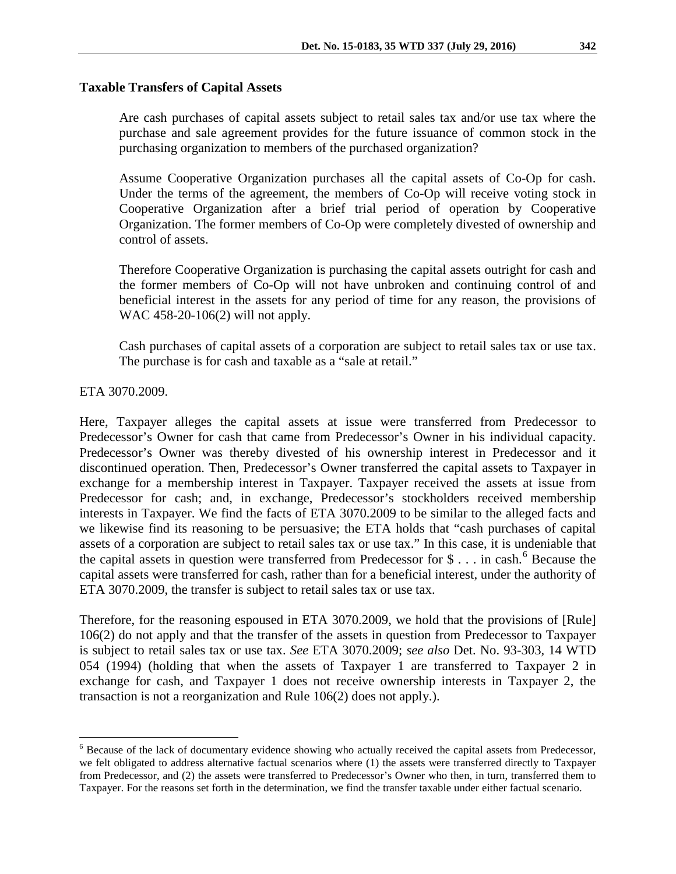### **Taxable Transfers of Capital Assets**

Are cash purchases of capital assets subject to retail sales tax and/or use tax where the purchase and sale agreement provides for the future issuance of common stock in the purchasing organization to members of the purchased organization?

Assume Cooperative Organization purchases all the capital assets of Co-Op for cash. Under the terms of the agreement, the members of Co-Op will receive voting stock in Cooperative Organization after a brief trial period of operation by Cooperative Organization. The former members of Co-Op were completely divested of ownership and control of assets.

Therefore Cooperative Organization is purchasing the capital assets outright for cash and the former members of Co-Op will not have unbroken and continuing control of and beneficial interest in the assets for any period of time for any reason, the provisions of WAC 458-20-106(2) will not apply.

Cash purchases of capital assets of a corporation are subject to retail sales tax or use tax. The purchase is for cash and taxable as a "sale at retail."

ETA 3070.2009.

Here, Taxpayer alleges the capital assets at issue were transferred from Predecessor to Predecessor's Owner for cash that came from Predecessor's Owner in his individual capacity. Predecessor's Owner was thereby divested of his ownership interest in Predecessor and it discontinued operation. Then, Predecessor's Owner transferred the capital assets to Taxpayer in exchange for a membership interest in Taxpayer. Taxpayer received the assets at issue from Predecessor for cash; and, in exchange, Predecessor's stockholders received membership interests in Taxpayer. We find the facts of ETA 3070.2009 to be similar to the alleged facts and we likewise find its reasoning to be persuasive; the ETA holds that "cash purchases of capital assets of a corporation are subject to retail sales tax or use tax." In this case, it is undeniable that the capital assets in question were transferred from Predecessor for  $\hat{\mathcal{S}}$ ... in cash.<sup>[6](#page-5-0)</sup> Because the capital assets were transferred for cash, rather than for a beneficial interest, under the authority of ETA 3070.2009, the transfer is subject to retail sales tax or use tax.

Therefore, for the reasoning espoused in ETA 3070.2009, we hold that the provisions of [Rule] 106(2) do not apply and that the transfer of the assets in question from Predecessor to Taxpayer is subject to retail sales tax or use tax. *See* ETA 3070.2009; *see also* Det. No. 93-303, 14 WTD 054 (1994) (holding that when the assets of Taxpayer 1 are transferred to Taxpayer 2 in exchange for cash, and Taxpayer 1 does not receive ownership interests in Taxpayer 2, the transaction is not a reorganization and Rule 106(2) does not apply.).

<span id="page-5-0"></span> <sup>6</sup> Because of the lack of documentary evidence showing who actually received the capital assets from Predecessor, we felt obligated to address alternative factual scenarios where (1) the assets were transferred directly to Taxpayer from Predecessor, and (2) the assets were transferred to Predecessor's Owner who then, in turn, transferred them to Taxpayer. For the reasons set forth in the determination, we find the transfer taxable under either factual scenario.